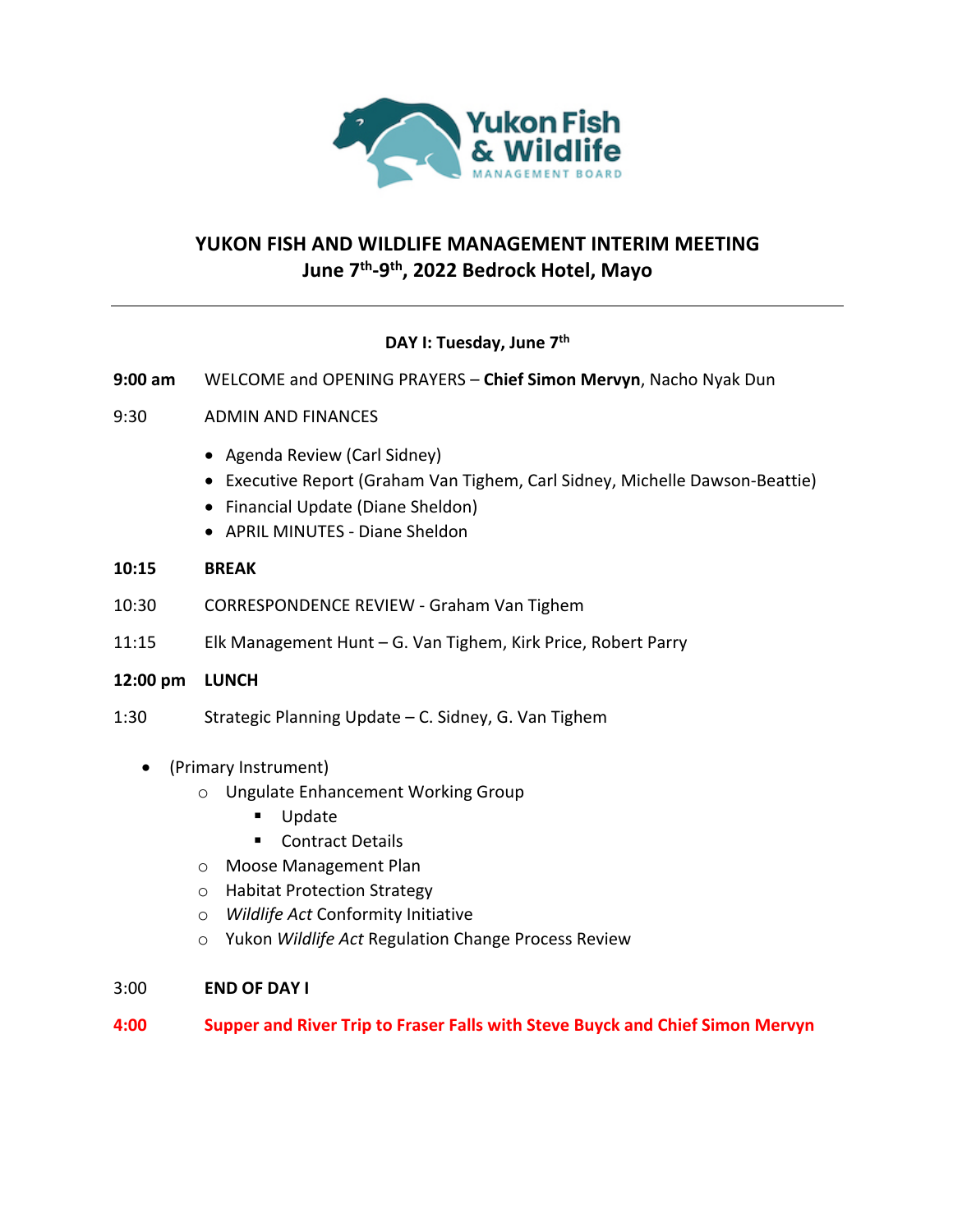

# **YUKON FISH AND WILDLIFE MANAGEMENT INTERIM MEETING June 7th-9th, 2022 Bedrock Hotel, Mayo**

## **DAY I: Tuesday, June 7th**

**9:00 am** WELCOME and OPENING PRAYERS – **Chief Simon Mervyn**, Nacho Nyak Dun

### 9:30 ADMIN AND FINANCES

- Agenda Review (Carl Sidney)
- Executive Report (Graham Van Tighem, Carl Sidney, Michelle Dawson-Beattie)
- Financial Update (Diane Sheldon)
- APRIL MINUTES Diane Sheldon

### **10:15 BREAK**

- 10:30 CORRESPONDENCE REVIEW Graham Van Tighem
- 11:15 Elk Management Hunt G. Van Tighem, Kirk Price, Robert Parry

#### **12:00 pm LUNCH**

1:30 Strategic Planning Update – C. Sidney, G. Van Tighem

### • (Primary Instrument)

- o Ungulate Enhancement Working Group
	- Update
	- Contract Details
- o Moose Management Plan
- o Habitat Protection Strategy
- o *Wildlife Act* Conformity Initiative
- o Yukon *Wildlife Act* Regulation Change Process Review

### 3:00 **END OF DAY I**

### **4:00 Supper and River Trip to Fraser Falls with Steve Buyck and Chief Simon Mervyn**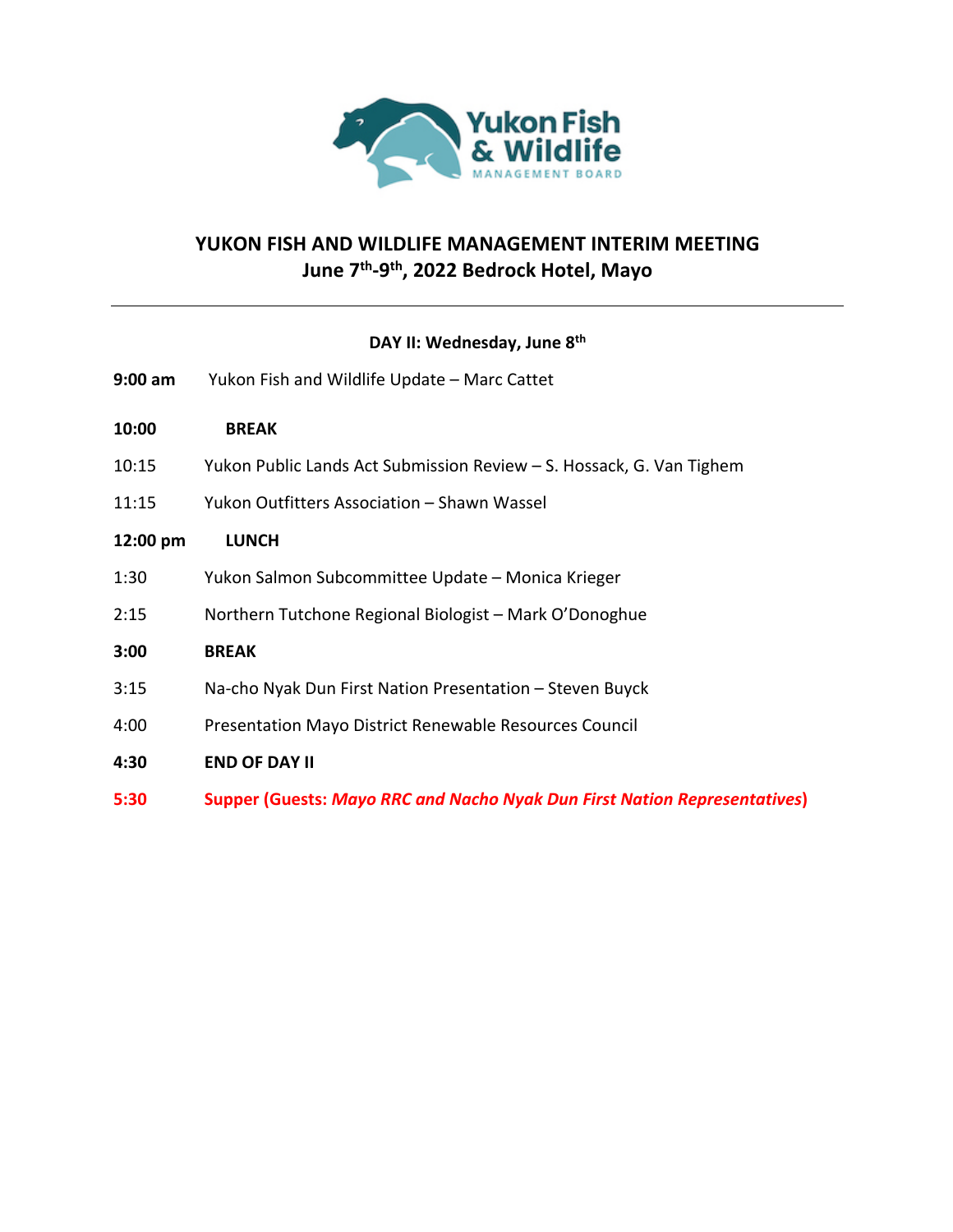

## **YUKON FISH AND WILDLIFE MANAGEMENT INTERIM MEETING June 7th-9th, 2022 Bedrock Hotel, Mayo**

### **DAY II: Wednesday, June 8th**

- **9:00 am** Yukon Fish and Wildlife Update Marc Cattet
- **10:00 BREAK**
- 10:15 Yukon Public Lands Act Submission Review S. Hossack, G. Van Tighem
- 11:15 Yukon Outfitters Association Shawn Wassel

#### **12:00 pm LUNCH**

- 1:30 Yukon Salmon Subcommittee Update Monica Krieger
- 2:15 Northern Tutchone Regional Biologist Mark O'Donoghue

#### **3:00 BREAK**

- 3:15 Na-cho Nyak Dun First Nation Presentation Steven Buyck
- 4:00 Presentation Mayo District Renewable Resources Council
- **4:30 END OF DAY II**
- **5:30 Supper (Guests:** *Mayo RRC and Nacho Nyak Dun First Nation Representatives***)**